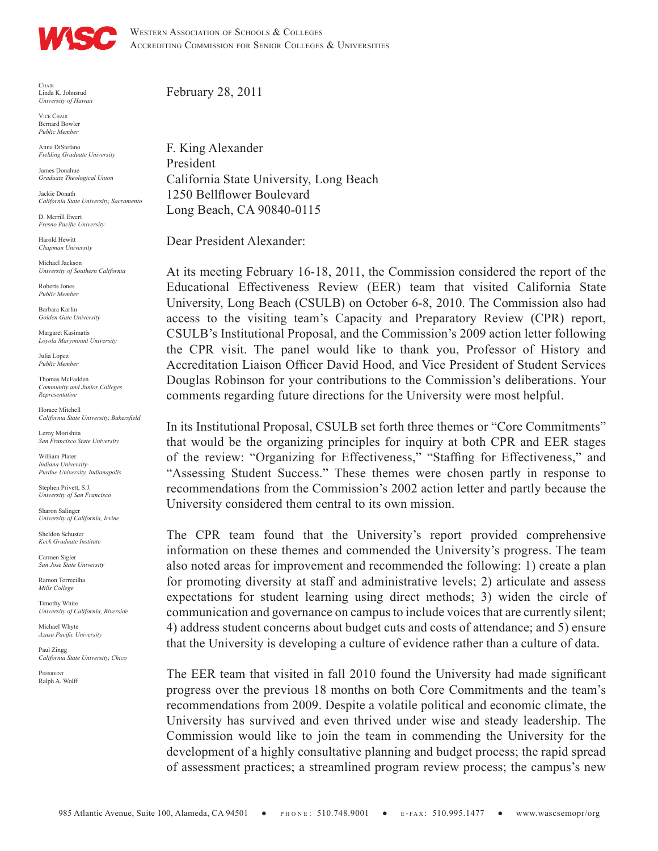

WESTERN ASSOCIATION OF SCHOOLS & COLLEGES ACCREDITING COMMISSION FOR SENIOR COLLEGES & UNIVERSITIES

 ${\rm CHAIR}$ Linda K. Johnsrud *University of Hawaii*

ViCe Chair Bernard Bowler *Public Member*

Anna DiStefano *Fielding Graduate University*

James Donahue *Graduate Theological Union*

Jackie Donath *California State University, Sacramento*

D. Merrill Ewert *Fresno Pacific University*

Harold Hewitt *Chapman University*

Michael Jackson *University of Southern California*

Roberts Jones *Public Member*

Barbara Karlin *Golden Gate University*

Margaret Kasimatis *Loyola Marymount University*

Julia Lopez *Public Member*

Thomas McFadden *Community and Junior Colleges Representative*

Horace Mitchell *California State University, Bakersfield*

Leroy Morishita *San Francisco State University*

William Plater *Indiana University-Purdue University, Indianapolis*

Stephen Privett, S.J. *University of San Francisco*

Sharon Salinger *University of California, Irvine*

*Keck Graduate Institute* Carmen Sigler

*San Jose State University* Ramon Torrecilha

Sheldon Schuster

*Mills College*

Timothy White *University of California, Riverside*

Michael Whyte *Azusa Pacific University*

Paul Zingg *California State University, Chico*

President Ralph A. Wolff February 28, 2011

F. King Alexander President California State University, Long Beach 1250 Bellflower Boulevard Long Beach, CA 90840-0115

Dear President Alexander:

At its meeting February 16-18, 2011, the Commission considered the report of the Educational Effectiveness Review (EER) team that visited California State University, Long Beach (CSULB) on October 6-8, 2010. The Commission also had access to the visiting team's Capacity and Preparatory Review (CPR) report, CSULB's Institutional Proposal, and the Commission's 2009 action letter following the CPR visit. The panel would like to thank you, Professor of History and Accreditation Liaison Officer David Hood, and Vice President of Student Services Douglas Robinson for your contributions to the Commission's deliberations. Your comments regarding future directions for the University were most helpful.

In its Institutional Proposal, CSULB set forth three themes or "Core Commitments" that would be the organizing principles for inquiry at both CPR and EER stages of the review: "Organizing for Effectiveness," "Staffing for Effectiveness," and "Assessing Student Success." These themes were chosen partly in response to recommendations from the Commission's 2002 action letter and partly because the University considered them central to its own mission.

The CPR team found that the University's report provided comprehensive information on these themes and commended the University's progress. The team also noted areas for improvement and recommended the following: 1) create a plan for promoting diversity at staff and administrative levels; 2) articulate and assess expectations for student learning using direct methods; 3) widen the circle of communication and governance on campus to include voices that are currently silent; 4) address student concerns about budget cuts and costs of attendance; and 5) ensure that the University is developing a culture of evidence rather than a culture of data.

The EER team that visited in fall 2010 found the University had made significant progress over the previous 18 months on both Core Commitments and the team's recommendations from 2009. Despite a volatile political and economic climate, the University has survived and even thrived under wise and steady leadership. The Commission would like to join the team in commending the University for the development of a highly consultative planning and budget process; the rapid spread of assessment practices; a streamlined program review process; the campus's new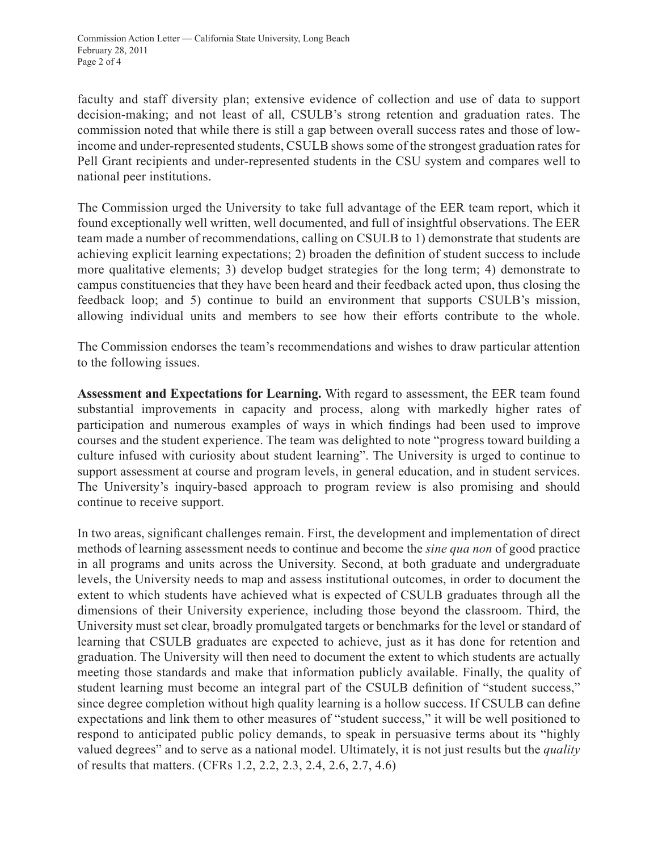faculty and staff diversity plan; extensive evidence of collection and use of data to support decision-making; and not least of all, CSULB's strong retention and graduation rates. The commission noted that while there is still a gap between overall success rates and those of lowincome and under-represented students, CSULB shows some of the strongest graduation rates for Pell Grant recipients and under-represented students in the CSU system and compares well to national peer institutions.

The Commission urged the University to take full advantage of the EER team report, which it found exceptionally well written, well documented, and full of insightful observations. The EER team made a number of recommendations, calling on CSULB to 1) demonstrate that students are achieving explicit learning expectations; 2) broaden the definition of student success to include more qualitative elements; 3) develop budget strategies for the long term; 4) demonstrate to campus constituencies that they have been heard and their feedback acted upon, thus closing the feedback loop; and 5) continue to build an environment that supports CSULB's mission, allowing individual units and members to see how their efforts contribute to the whole.

The Commission endorses the team's recommendations and wishes to draw particular attention to the following issues.

**Assessment and Expectations for Learning.** With regard to assessment, the EER team found substantial improvements in capacity and process, along with markedly higher rates of participation and numerous examples of ways in which findings had been used to improve courses and the student experience. The team was delighted to note "progress toward building a culture infused with curiosity about student learning". The University is urged to continue to support assessment at course and program levels, in general education, and in student services. The University's inquiry-based approach to program review is also promising and should continue to receive support.

In two areas, significant challenges remain. First, the development and implementation of direct methods of learning assessment needs to continue and become the *sine qua non* of good practice in all programs and units across the University. Second, at both graduate and undergraduate levels, the University needs to map and assess institutional outcomes, in order to document the extent to which students have achieved what is expected of CSULB graduates through all the dimensions of their University experience, including those beyond the classroom. Third, the University must set clear, broadly promulgated targets or benchmarks for the level or standard of learning that CSULB graduates are expected to achieve, just as it has done for retention and graduation. The University will then need to document the extent to which students are actually meeting those standards and make that information publicly available. Finally, the quality of student learning must become an integral part of the CSULB definition of "student success," since degree completion without high quality learning is a hollow success. If CSULB can define expectations and link them to other measures of "student success," it will be well positioned to respond to anticipated public policy demands, to speak in persuasive terms about its "highly valued degrees" and to serve as a national model. Ultimately, it is not just results but the *quality* of results that matters. (CFRs 1.2, 2.2, 2.3, 2.4, 2.6, 2.7, 4.6)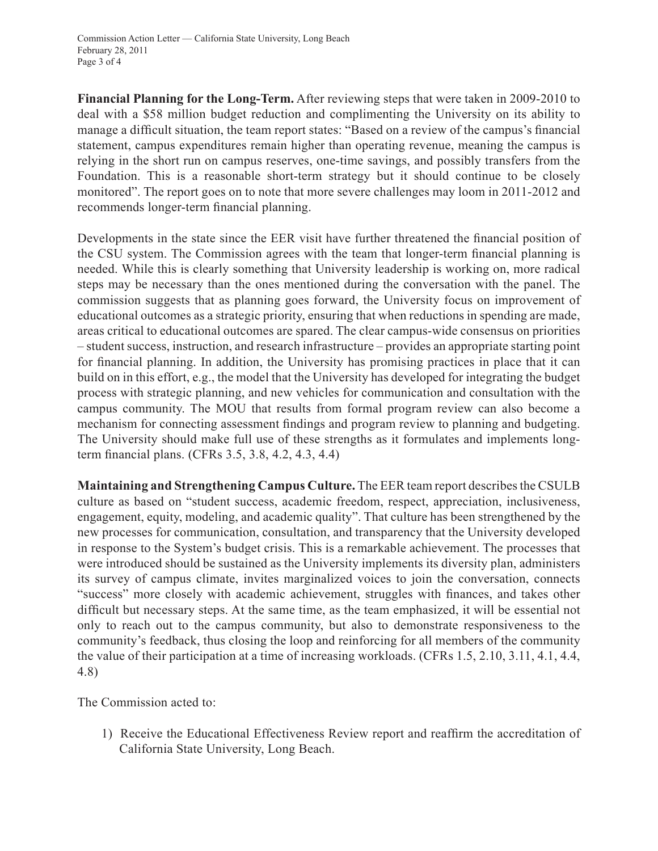**Financial Planning for the Long-Term.** After reviewing steps that were taken in 2009-2010 to deal with a \$58 million budget reduction and complimenting the University on its ability to manage a difficult situation, the team report states: "Based on a review of the campus's financial statement, campus expenditures remain higher than operating revenue, meaning the campus is relying in the short run on campus reserves, one-time savings, and possibly transfers from the Foundation. This is a reasonable short-term strategy but it should continue to be closely monitored". The report goes on to note that more severe challenges may loom in 2011-2012 and recommends longer-term financial planning.

Developments in the state since the EER visit have further threatened the financial position of the CSU system. The Commission agrees with the team that longer-term financial planning is needed. While this is clearly something that University leadership is working on, more radical steps may be necessary than the ones mentioned during the conversation with the panel. The commission suggests that as planning goes forward, the University focus on improvement of educational outcomes as a strategic priority, ensuring that when reductions in spending are made, areas critical to educational outcomes are spared. The clear campus-wide consensus on priorities – student success, instruction, and research infrastructure – provides an appropriate starting point for financial planning. In addition, the University has promising practices in place that it can build on in this effort, e.g., the model that the University has developed for integrating the budget process with strategic planning, and new vehicles for communication and consultation with the campus community. The MOU that results from formal program review can also become a mechanism for connecting assessment findings and program review to planning and budgeting. The University should make full use of these strengths as it formulates and implements longterm financial plans. (CFRs 3.5, 3.8, 4.2, 4.3, 4.4)

**Maintaining and Strengthening Campus Culture.** The EER team report describes the CSULB culture as based on "student success, academic freedom, respect, appreciation, inclusiveness, engagement, equity, modeling, and academic quality". That culture has been strengthened by the new processes for communication, consultation, and transparency that the University developed in response to the System's budget crisis. This is a remarkable achievement. The processes that were introduced should be sustained as the University implements its diversity plan, administers its survey of campus climate, invites marginalized voices to join the conversation, connects "success" more closely with academic achievement, struggles with finances, and takes other difficult but necessary steps. At the same time, as the team emphasized, it will be essential not only to reach out to the campus community, but also to demonstrate responsiveness to the community's feedback, thus closing the loop and reinforcing for all members of the community the value of their participation at a time of increasing workloads. (CFRs 1.5, 2.10, 3.11, 4.1, 4.4, 4.8)

The Commission acted to:

1) Receive the Educational Effectiveness Review report and reaffirm the accreditation of California State University, Long Beach.